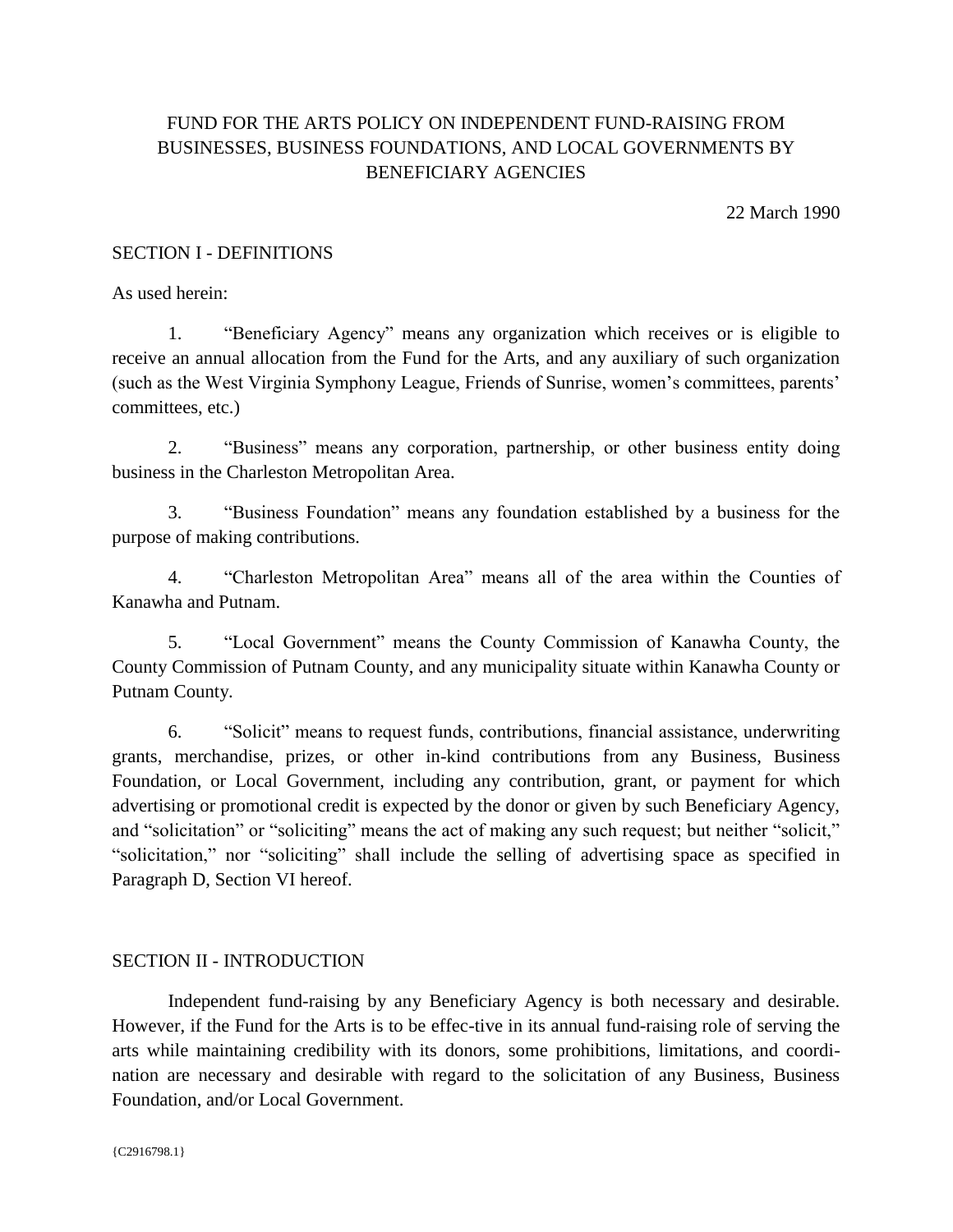# FUND FOR THE ARTS POLICY ON INDEPENDENT FUND-RAISING FROM BUSINESSES, BUSINESS FOUNDATIONS, AND LOCAL GOVERNMENTS BY BENEFICIARY AGENCIES

22 March 1990

## SECTION I - DEFINITIONS

As used herein:

1. "Beneficiary Agency" means any organization which receives or is eligible to receive an annual allocation from the Fund for the Arts, and any auxiliary of such organization (such as the West Virginia Symphony League, Friends of Sunrise, women's committees, parents' committees, etc.)

2. "Business" means any corporation, partnership, or other business entity doing business in the Charleston Metropolitan Area.

3. "Business Foundation" means any foundation established by a business for the purpose of making contributions.

4. "Charleston Metropolitan Area" means all of the area within the Counties of Kanawha and Putnam.

5. "Local Government" means the County Commission of Kanawha County, the County Commission of Putnam County, and any municipality situate within Kanawha County or Putnam County.

6. "Solicit" means to request funds, contributions, financial assistance, underwriting grants, merchandise, prizes, or other in-kind contributions from any Business, Business Foundation, or Local Government, including any contribution, grant, or payment for which advertising or promotional credit is expected by the donor or given by such Beneficiary Agency, and "solicitation" or "soliciting" means the act of making any such request; but neither "solicit," "solicitation," nor "soliciting" shall include the selling of advertising space as specified in Paragraph D, Section VI hereof.

#### SECTION II - INTRODUCTION

Independent fund-raising by any Beneficiary Agency is both necessary and desirable. However, if the Fund for the Arts is to be effec-tive in its annual fund-raising role of serving the arts while maintaining credibility with its donors, some prohibitions, limitations, and coordination are necessary and desirable with regard to the solicitation of any Business, Business Foundation, and/or Local Government.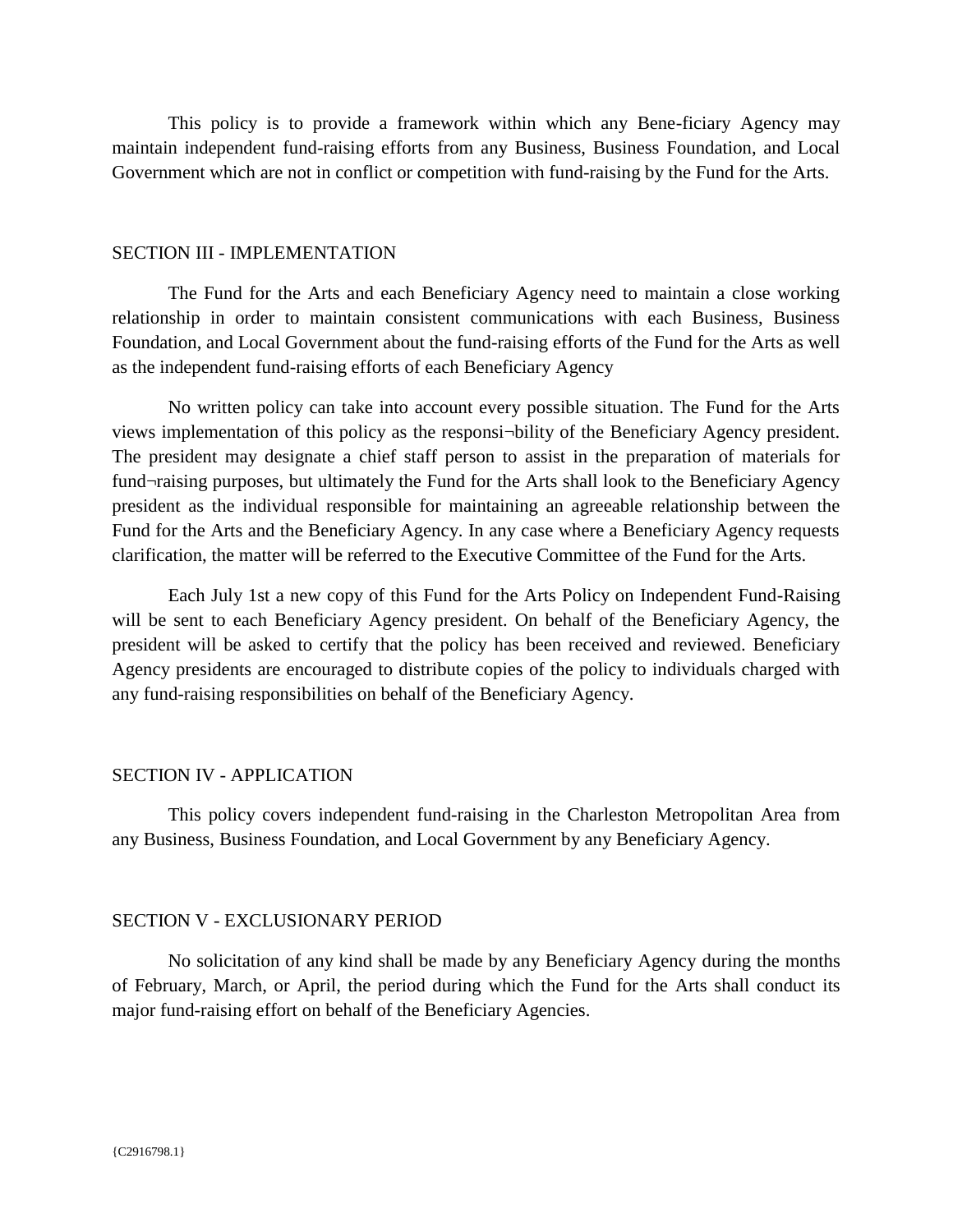This policy is to provide a framework within which any Bene-ficiary Agency may maintain independent fund-raising efforts from any Business, Business Foundation, and Local Government which are not in conflict or competition with fund-raising by the Fund for the Arts.

#### SECTION III - IMPLEMENTATION

The Fund for the Arts and each Beneficiary Agency need to maintain a close working relationship in order to maintain consistent communications with each Business, Business Foundation, and Local Government about the fund-raising efforts of the Fund for the Arts as well as the independent fund-raising efforts of each Beneficiary Agency

No written policy can take into account every possible situation. The Fund for the Arts views implementation of this policy as the responsi¬bility of the Beneficiary Agency president. The president may designate a chief staff person to assist in the preparation of materials for fund¬raising purposes, but ultimately the Fund for the Arts shall look to the Beneficiary Agency president as the individual responsible for maintaining an agreeable relationship between the Fund for the Arts and the Beneficiary Agency. In any case where a Beneficiary Agency requests clarification, the matter will be referred to the Executive Committee of the Fund for the Arts.

Each July 1st a new copy of this Fund for the Arts Policy on Independent Fund-Raising will be sent to each Beneficiary Agency president. On behalf of the Beneficiary Agency, the president will be asked to certify that the policy has been received and reviewed. Beneficiary Agency presidents are encouraged to distribute copies of the policy to individuals charged with any fund-raising responsibilities on behalf of the Beneficiary Agency.

#### SECTION IV - APPLICATION

This policy covers independent fund-raising in the Charleston Metropolitan Area from any Business, Business Foundation, and Local Government by any Beneficiary Agency.

#### SECTION V - EXCLUSIONARY PERIOD

No solicitation of any kind shall be made by any Beneficiary Agency during the months of February, March, or April, the period during which the Fund for the Arts shall conduct its major fund-raising effort on behalf of the Beneficiary Agencies.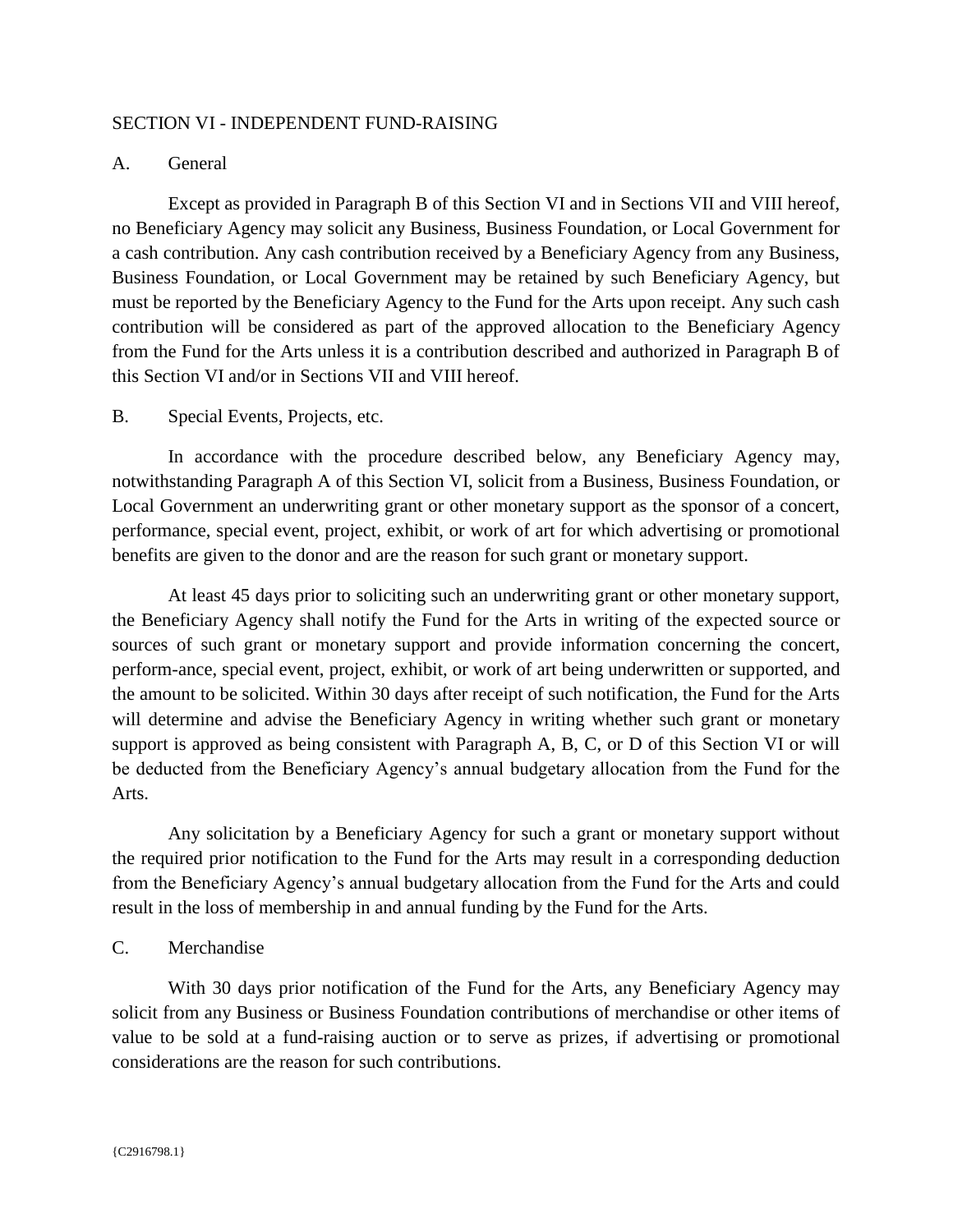#### SECTION VI - INDEPENDENT FUND-RAISING

# A. General

Except as provided in Paragraph B of this Section VI and in Sections VII and VIII hereof, no Beneficiary Agency may solicit any Business, Business Foundation, or Local Government for a cash contribution. Any cash contribution received by a Beneficiary Agency from any Business, Business Foundation, or Local Government may be retained by such Beneficiary Agency, but must be reported by the Beneficiary Agency to the Fund for the Arts upon receipt. Any such cash contribution will be considered as part of the approved allocation to the Beneficiary Agency from the Fund for the Arts unless it is a contribution described and authorized in Paragraph B of this Section VI and/or in Sections VII and VIII hereof.

## B. Special Events, Projects, etc.

In accordance with the procedure described below, any Beneficiary Agency may, notwithstanding Paragraph A of this Section VI, solicit from a Business, Business Foundation, or Local Government an underwriting grant or other monetary support as the sponsor of a concert, performance, special event, project, exhibit, or work of art for which advertising or promotional benefits are given to the donor and are the reason for such grant or monetary support.

At least 45 days prior to soliciting such an underwriting grant or other monetary support, the Beneficiary Agency shall notify the Fund for the Arts in writing of the expected source or sources of such grant or monetary support and provide information concerning the concert, perform-ance, special event, project, exhibit, or work of art being underwritten or supported, and the amount to be solicited. Within 30 days after receipt of such notification, the Fund for the Arts will determine and advise the Beneficiary Agency in writing whether such grant or monetary support is approved as being consistent with Paragraph A, B, C, or D of this Section VI or will be deducted from the Beneficiary Agency's annual budgetary allocation from the Fund for the Arts.

Any solicitation by a Beneficiary Agency for such a grant or monetary support without the required prior notification to the Fund for the Arts may result in a corresponding deduction from the Beneficiary Agency's annual budgetary allocation from the Fund for the Arts and could result in the loss of membership in and annual funding by the Fund for the Arts.

#### C. Merchandise

With 30 days prior notification of the Fund for the Arts, any Beneficiary Agency may solicit from any Business or Business Foundation contributions of merchandise or other items of value to be sold at a fund-raising auction or to serve as prizes, if advertising or promotional considerations are the reason for such contributions.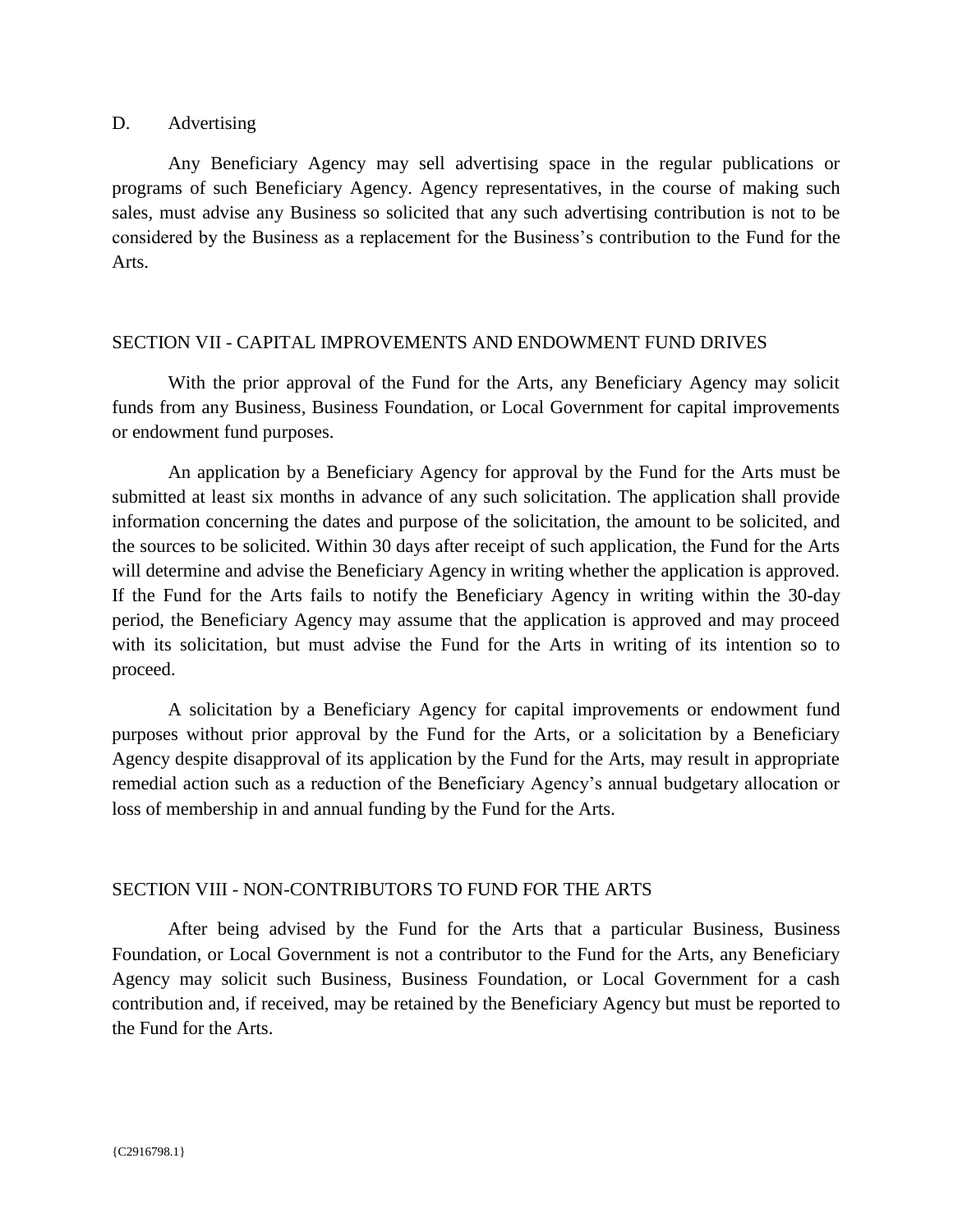## D. Advertising

Any Beneficiary Agency may sell advertising space in the regular publications or programs of such Beneficiary Agency. Agency representatives, in the course of making such sales, must advise any Business so solicited that any such advertising contribution is not to be considered by the Business as a replacement for the Business's contribution to the Fund for the Arts.

# SECTION VII - CAPITAL IMPROVEMENTS AND ENDOWMENT FUND DRIVES

With the prior approval of the Fund for the Arts, any Beneficiary Agency may solicit funds from any Business, Business Foundation, or Local Government for capital improvements or endowment fund purposes.

An application by a Beneficiary Agency for approval by the Fund for the Arts must be submitted at least six months in advance of any such solicitation. The application shall provide information concerning the dates and purpose of the solicitation, the amount to be solicited, and the sources to be solicited. Within 30 days after receipt of such application, the Fund for the Arts will determine and advise the Beneficiary Agency in writing whether the application is approved. If the Fund for the Arts fails to notify the Beneficiary Agency in writing within the 30-day period, the Beneficiary Agency may assume that the application is approved and may proceed with its solicitation, but must advise the Fund for the Arts in writing of its intention so to proceed.

A solicitation by a Beneficiary Agency for capital improvements or endowment fund purposes without prior approval by the Fund for the Arts, or a solicitation by a Beneficiary Agency despite disapproval of its application by the Fund for the Arts, may result in appropriate remedial action such as a reduction of the Beneficiary Agency's annual budgetary allocation or loss of membership in and annual funding by the Fund for the Arts.

# SECTION VIII - NON-CONTRIBUTORS TO FUND FOR THE ARTS

After being advised by the Fund for the Arts that a particular Business, Business Foundation, or Local Government is not a contributor to the Fund for the Arts, any Beneficiary Agency may solicit such Business, Business Foundation, or Local Government for a cash contribution and, if received, may be retained by the Beneficiary Agency but must be reported to the Fund for the Arts.